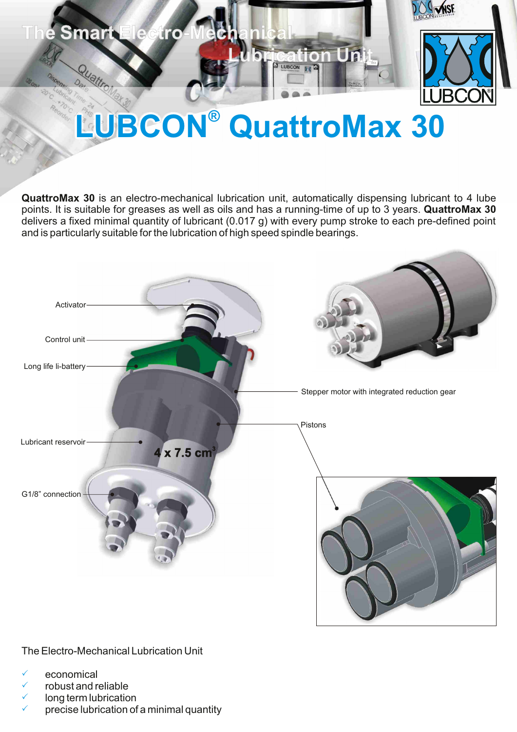

# **LUBCON®** QuattroMax 30

**QuattroMax 30** is an electro-mechanical lubrication unit, automatically dispensing lubricant to 4 lube points. It is suitable for greases as well as oils and has a running-time of up to 3 years. **QuattroMax 30** delivers a fixed minimal quantity of lubricant (0.017 g) with every pump stroke to each pre-defined point and is particularly suitable for the lubrication of high speed spindle bearings.



The Electro-Mechanical Lubrication Unit

- economical P
- $\checkmark$  robust and reliable
- $\checkmark$  long term lubrication
- $\checkmark$  precise lubrication of a minimal quantity